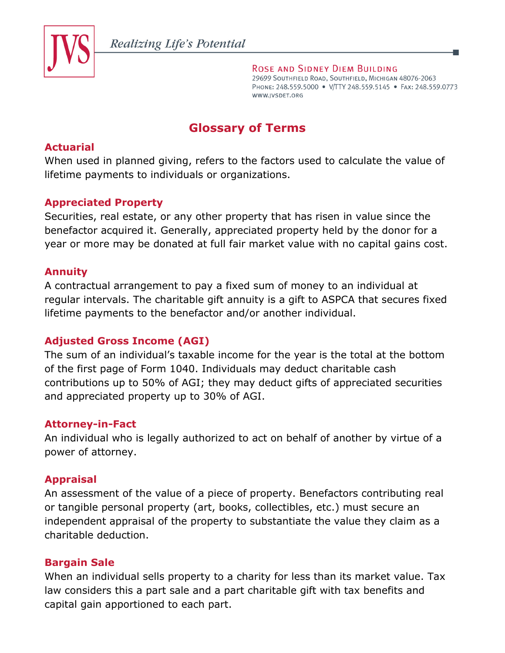

ROSE AND SIDNEY DIEM BUILDING 29699 SOUTHFIELD ROAD, SOUTHFIELD, MICHIGAN 48076-2063 PHONE: 248.559.5000 · V/TTY 248.559.5145 · FAX: 248.559.0773 WWW.JVSDET.ORG

# **Glossary of Terms**

## **Actuarial**

When used in planned giving, refers to the factors used to calculate the value of lifetime payments to individuals or organizations.

## **Appreciated Property**

Securities, real estate, or any other property that has risen in value since the benefactor acquired it. Generally, appreciated property held by the donor for a year or more may be donated at full fair market value with no capital gains cost.

## **Annuity**

A contractual arrangement to pay a fixed sum of money to an individual at regular intervals. The charitable gift annuity is a gift to ASPCA that secures fixed lifetime payments to the benefactor and/or another individual.

## **Adjusted Gross Income (AGI)**

The sum of an individual's taxable income for the year is the total at the bottom of the first page of Form 1040. Individuals may deduct charitable cash contributions up to 50% of AGI; they may deduct gifts of appreciated securities and appreciated property up to 30% of AGI.

## **Attorney-in-Fact**

An individual who is legally authorized to act on behalf of another by virtue of a power of attorney.

## **Appraisal**

An assessment of the value of a piece of property. Benefactors contributing real or tangible personal property (art, books, collectibles, etc.) must secure an independent appraisal of the property to substantiate the value they claim as a charitable deduction.

## **Bargain Sale**

When an individual sells property to a charity for less than its market value. Tax law considers this a part sale and a part charitable gift with tax benefits and capital gain apportioned to each part.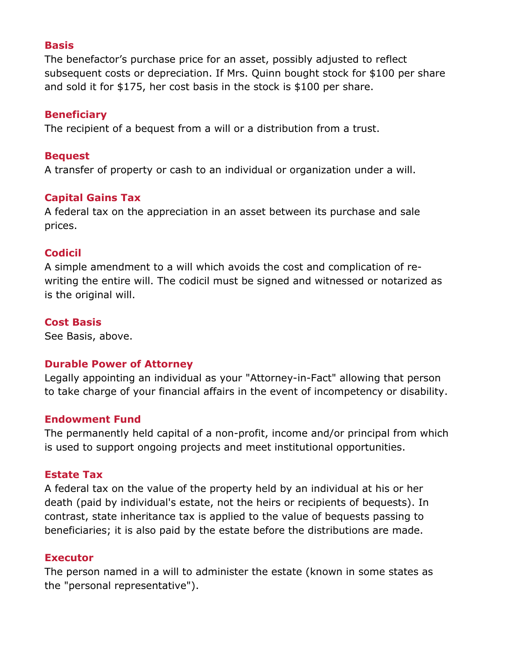## **Basis**

The benefactor's purchase price for an asset, possibly adjusted to reflect subsequent costs or depreciation. If Mrs. Quinn bought stock for \$100 per share and sold it for \$175, her cost basis in the stock is \$100 per share.

## **Beneficiary**

The recipient of a bequest from a will or a distribution from a trust.

## **Bequest**

A transfer of property or cash to an individual or organization under a will.

## **Capital Gains Tax**

A federal tax on the appreciation in an asset between its purchase and sale prices.

## **Codicil**

A simple amendment to a will which avoids the cost and complication of rewriting the entire will. The codicil must be signed and witnessed or notarized as is the original will.

## **Cost Basis**

See Basis, above.

## **Durable Power of Attorney**

Legally appointing an individual as your "Attorney-in-Fact" allowing that person to take charge of your financial affairs in the event of incompetency or disability.

## **Endowment Fund**

The permanently held capital of a non-profit, income and/or principal from which is used to support ongoing projects and meet institutional opportunities.

## **Estate Tax**

A federal tax on the value of the property held by an individual at his or her death (paid by individual's estate, not the heirs or recipients of bequests). In contrast, state inheritance tax is applied to the value of bequests passing to beneficiaries; it is also paid by the estate before the distributions are made.

## **Executor**

The person named in a will to administer the estate (known in some states as the "personal representative").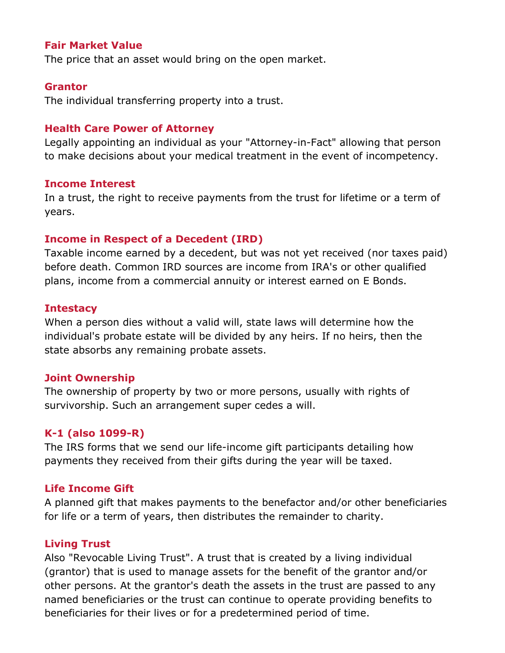## **Fair Market Value**

The price that an asset would bring on the open market.

#### **Grantor**

The individual transferring property into a trust.

#### **Health Care Power of Attorney**

Legally appointing an individual as your "Attorney-in-Fact" allowing that person to make decisions about your medical treatment in the event of incompetency.

#### **Income Interest**

In a trust, the right to receive payments from the trust for lifetime or a term of years.

#### **Income in Respect of a Decedent (IRD)**

Taxable income earned by a decedent, but was not yet received (nor taxes paid) before death. Common IRD sources are income from IRA's or other qualified plans, income from a commercial annuity or interest earned on E Bonds.

#### **Intestacy**

When a person dies without a valid will, state laws will determine how the individual's probate estate will be divided by any heirs. If no heirs, then the state absorbs any remaining probate assets.

#### **Joint Ownership**

The ownership of property by two or more persons, usually with rights of survivorship. Such an arrangement super cedes a will.

#### **K-1 (also 1099-R)**

The IRS forms that we send our life-income gift participants detailing how payments they received from their gifts during the year will be taxed.

#### **Life Income Gift**

A planned gift that makes payments to the benefactor and/or other beneficiaries for life or a term of years, then distributes the remainder to charity.

#### **Living Trust**

Also "Revocable Living Trust". A trust that is created by a living individual (grantor) that is used to manage assets for the benefit of the grantor and/or other persons. At the grantor's death the assets in the trust are passed to any named beneficiaries or the trust can continue to operate providing benefits to beneficiaries for their lives or for a predetermined period of time.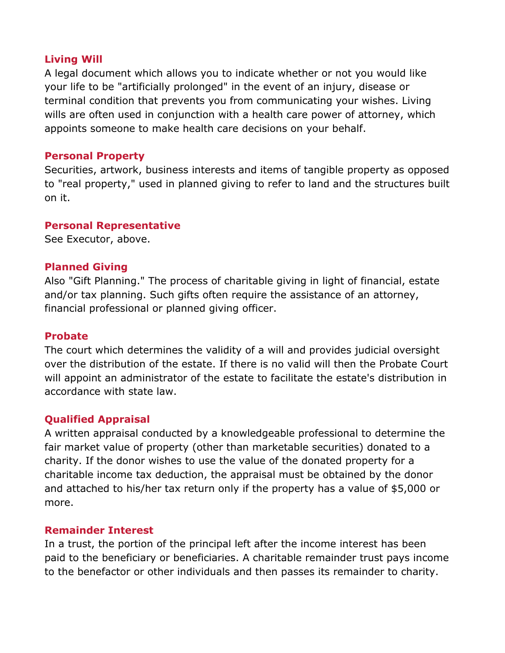## **Living Will**

A legal document which allows you to indicate whether or not you would like your life to be "artificially prolonged" in the event of an injury, disease or terminal condition that prevents you from communicating your wishes. Living wills are often used in conjunction with a health care power of attorney, which appoints someone to make health care decisions on your behalf.

## **Personal Property**

Securities, artwork, business interests and items of tangible property as opposed to "real property," used in planned giving to refer to land and the structures built on it.

## **Personal Representative**

See Executor, above.

## **Planned Giving**

Also "Gift Planning." The process of charitable giving in light of financial, estate and/or tax planning. Such gifts often require the assistance of an attorney, financial professional or planned giving officer.

## **Probate**

The court which determines the validity of a will and provides judicial oversight over the distribution of the estate. If there is no valid will then the Probate Court will appoint an administrator of the estate to facilitate the estate's distribution in accordance with state law.

## **Qualified Appraisal**

A written appraisal conducted by a knowledgeable professional to determine the fair market value of property (other than marketable securities) donated to a charity. If the donor wishes to use the value of the donated property for a charitable income tax deduction, the appraisal must be obtained by the donor and attached to his/her tax return only if the property has a value of \$5,000 or more.

## **Remainder Interest**

In a trust, the portion of the principal left after the income interest has been paid to the beneficiary or beneficiaries. A charitable remainder trust pays income to the benefactor or other individuals and then passes its remainder to charity.